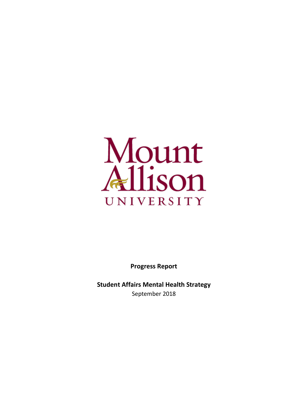

**Progress Report**

**Student Affairs Mental Health Strategy** September 2018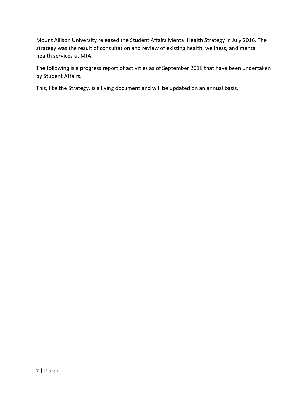Mount Allison University released the Student Affairs Mental Health Strategy in July 2016. The strategy was the result of consultation and review of existing health, wellness, and mental health services at MtA.

The following is a progress report of activities as of September 2018 that have been undertaken by Student Affairs.

This, like the Strategy, is a living document and will be updated on an annual basis.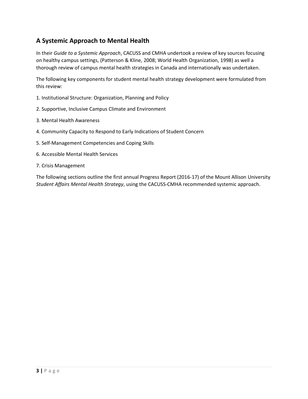# **A Systemic Approach to Mental Health**

In their *Guide to a Systemic Approach*, CACUSS and CMHA undertook a review of key sources focusing on healthy campus settings, (Patterson & Kline, 2008; World Health Organization, 1998) as well a thorough review of campus mental health strategies in Canada and internationally was undertaken.

The following key components for student mental health strategy development were formulated from this review:

- 1. Institutional Structure: Organization, Planning and Policy
- 2. Supportive, Inclusive Campus Climate and Environment
- 3. Mental Health Awareness
- 4. Community Capacity to Respond to Early Indications of Student Concern
- 5. Self-Management Competencies and Coping Skills
- 6. Accessible Mental Health Services
- 7. Crisis Management

The following sections outline the first annual Progress Report (2016-17) of the Mount Allison University *Student Affairs Mental Health Strategy*, using the CACUSS-CMHA recommended systemic approach.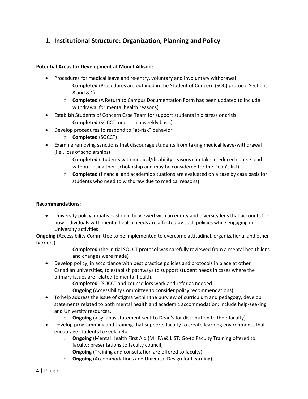# **1. Institutional Structure: Organization, Planning and Policy**

### **Potential Areas for Development at Mount Allison:**

- Procedures for medical leave and re-entry, voluntary and involuntary withdrawal
	- o **Completed** (Procedures are outlined in the Student of Concern (SOC) protocol Sections 8 and 8.1)
	- o **Completed** (A Return to Campus Documentation Form has been updated to include withdrawal for mental health reasons)
- Establish Students of Concern Case Team for support students in distress or crisis
	- o **Completed** (SOCCT meets on a weekly basis)
- Develop procedures to respond to "at-risk" behavior
	- o **Completed** (SOCCT)
- Examine removing sanctions that discourage students from taking medical leave/withdrawal (i.e., loss of scholarships)
	- o **Completed** (students with medical/disability reasons can take a reduced course load without losing their scholarship and may be considered for the Dean's list)
	- o **Completed (**financial and academic situations are evaluated on a case by case basis for students who need to withdraw due to medical reasons)

### **Recommendations:**

• University policy initiatives should be viewed with an equity and diversity lens that accounts for how individuals with mental health needs are affected by such policies while engaging in University activities.

**Ongoing** (Accessibility Committee to be implemented to overcome attitudinal, organizational and other barriers)

- o **Completed** (the initial SOCCT protocol was carefully reviewed from a mental health lens and changes were made)
- Develop policy, in accordance with best practice policies and protocols in place at other Canadian universities, to establish pathways to support student needs in cases where the primary issues are related to mental health.
	- o **Completed** (SOCCT and counsellors work and refer as needed
	- o **Ongoing (**Accessibility Committee to consider policy recommendations)
- To help address the issue of stigma within the purview of curriculum and pedagogy, develop statements related to both mental health and academic accommodation; include help-seeking and University resources.
	- o **Ongoing** (a syllabus statement sent to Dean's for distribution to their faculty)
- Develop programming and training that supports faculty to create learning environments that encourage students to seek help.
	- o **Ongoing** (Mental Health First Aid (MHFA)& LIST: Go-to Faculty Training offered to faculty; presentations to faculty council)
		- **Ongoing** (Training and consultation are offered to faculty)
	- o **Ongoing** (Accommodations and Universal Design for Learning)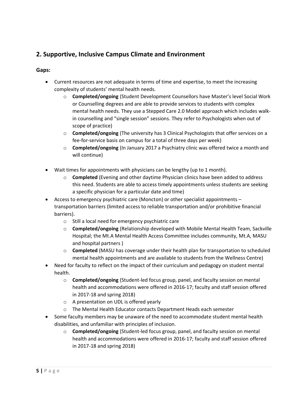# **2. Supportive, Inclusive Campus Climate and Environment**

## **Gaps:**

- Current resources are not adequate in terms of time and expertise, to meet the increasing complexity of students' mental health needs.
	- o **Completed/ongoing** (Student Development Counsellors have Master's level Social Work or Counselling degrees and are able to provide services to students with complex mental health needs. They use a Stepped Care 2.0 Model approach which includes walkin counselling and "single session" sessions. They refer to Psychologists when out of scope of practice)
	- o **Completed/ongoing** (The university has 3 Clinical Psychologists that offer services on a fee-for-service basis on campus for a total of three days per week)
	- o **Completed/ongoing** (In January 2017 a Psychiatry clinic was offered twice a month and will continue)
- Wait times for appointments with physicians can be lengthy (up to 1 month).
	- o **Completed** (Evening and other daytime Physician clinics have been added to address this need. Students are able to access timely appointments unless students are seeking a specific physician for a particular date and time)
- Access to emergency psychiatric care (Moncton) or other specialist appointments transportation barriers (limited access to reliable transportation and/or prohibitive financial barriers).
	- o Still a local need for emergency psychiatric care
	- o **Completed/ongoing** (Relationship developed with Mobile Mental Health Team, Sackville Hospital; the Mt.A Mental Health Access Committee includes community, Mt.A, MASU and hospital partners )
	- o **Completed** (MASU has coverage under their health plan for transportation to scheduled mental health appointments and are available to students from the Wellness Centre)
- Need for faculty to reflect on the impact of their curriculum and pedagogy on student mental health.
	- o **Completed/ongoing** (Student-led focus group, panel, and faculty session on mental health and accommodations were offered in 2016-17; faculty and staff session offered in 2017-18 and spring 2018)
	- o A presentation on UDL is offered yearly
	- o The Mental Health Educator contacts Department Heads each semester
- Some faculty members may be unaware of the need to accommodate student mental health disabilities, and unfamiliar with principles of inclusion.
	- o **Completed/ongoing** (Student-led focus group, panel, and faculty session on mental health and accommodations were offered in 2016-17; faculty and staff session offered in 2017-18 and spring 2018)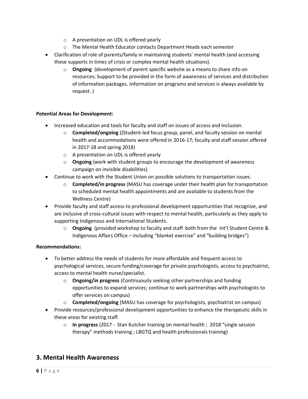- o A presentation on UDL is offered yearly
- o The Mental Health Educator contacts Department Heads each semester
- Clarification of role of parents/family in maintaining students' mental health (and accessing these supports in times of crisis or complex mental health situations).
	- o **Ongoing** (development of parent specific website as a means to share info on resources; Support to be provided in the form of awareness of services and distribution of information packages. Information on programs and services is always available by request. )

## **Potential Areas for Development:**

- Increased education and tools for faculty and staff on issues of access and inclusion.
	- o **Completed/ongoing** ((Student-led focus group, panel, and faculty session on mental health and accommodations were offered in 2016-17; faculty and staff session offered in 2017-18 and spring 2018)
	- o A presentation on UDL is offered yearly
	- o **Ongoing** (work with student groups to encourage the development of awareness campaign on invisible disabilities)
- Continue to work with the Student Union on possible solutions to transportation issues.
	- o **Completed/in progress** (MASU has coverage under their health plan for transportation to scheduled mental health appointments and are available to students from the Wellness Centre)
- Provide faculty and staff access to professional development opportunities that recognize, and are inclusive of cross-cultural issues with respect to mental health, particularly as they apply to supporting Indigenous and International Students.
	- o **Ongoing** (provided workshop to faculty and staff both from the Int'l Student Centre & Indigenous Affairs Office – including "blanket exercise" and "building bridges")

### **Recommendations:**

- To better address the needs of students for more affordable and frequent access to psychological services, secure funding/coverage for private psychologists, access to psychiatrist, access to mental health nurse/specialist.
	- o **Ongoing/in progress** (Continuously seeking other partnerships and funding opportunities to expand services; continue to work partnerships with psychologists to offer services on campus)
	- o **Completed/ongoing** (MASU has coverage for psychologists, psychiatrist on campus)
- Provide resources/professional development opportunities to enhance the therapeutic skills in these areas for existing staff.
	- o **In progress** (2017 Stan Kutcher training on mental health ; 2018 "single session therapy" methods training ; LBGTQ and health professionals training)

# **3. Mental Health Awareness**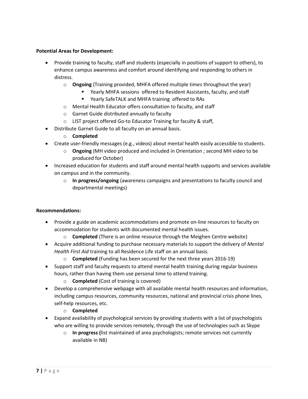### **Potential Areas for Development:**

- Provide training to faculty, staff and students (especially in positions of support to others), to enhance campus awareness and comfort around identifying and responding to others in distress.
	- o **Ongoing** (Training provided, MHFA offered multiple times throughout the year)
		- Yearly MHFA sessions offered to Resident Assistants, faculty, and staff
		- Yearly SafeTALK and MHFA training offered to RAs
	- o Mental Health Educator offers consultation to faculty, and staff
	- o Garnet Guide distributed annually to faculty
	- o LIST project offered Go-to Educator Training for faculty & staff,
- Distribute Garnet Guide to all faculty on an annual basis.
	- o **Completed**
- Create user-friendly messages (e.g., videos) about mental health easily accessible to students.
	- o **Ongoing** (MH video produced and included in Orientation ; second MH video to be produced for October)
- Increased education for students and staff around mental health supports and services available on campus and in the community.
	- o **In progress/ongoing** (awareness campaigns and presentations to faculty council and departmental meetings)

- Provide a guide on academic accommodations and promote on-line resources to faculty on accommodation for students with documented mental health issues.
	- o **Completed** (There is an online resource through the Meighen Centre website)
- Acquire additional funding to purchase necessary materials to support the delivery of *Mental Health First Aid* training to all Residence Life staff on an annual basis.
	- o **Completed** (Funding has been secured for the next three years 2016-19)
- Support staff and faculty requests to attend mental health training during regular business hours, rather than having them use personal time to attend training.
	- o **Completed** (Cost of training is covered)
- Develop a comprehensive webpage with all available mental health resources and information, including campus resources, community resources, national and provincial crisis phone lines, self-help resources, etc.
	- o **Completed**
- Expand availability of psychological services by providing students with a list of psychologists who are willing to provide services remotely, through the use of technologies such as Skype
	- o **In progress (**list maintained of area psychologists; remote services not currently available in NB)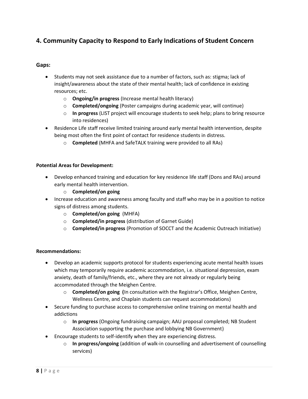# **4. Community Capacity to Respond to Early Indications of Student Concern**

### **Gaps:**

- Students may not seek assistance due to a number of factors, such as: stigma; lack of insight/awareness about the state of their mental health; lack of confidence in existing resources; etc.
	- o **Ongoing/in progress** (Increase mental health literacy)
	- o **Completed/ongoing** (Poster campaigns during academic year, will continue)
	- o **In progress** (LIST project will encourage students to seek help; plans to bring resource into residences)
- Residence Life staff receive limited training around early mental health intervention, despite being most often the first point of contact for residence students in distress.
	- o **Completed** (MHFA and SafeTALK training were provided to all RAs)

### **Potential Areas for Development:**

- Develop enhanced training and education for key residence life staff (Dons and RAs) around early mental health intervention.
	- o **Completed/on going**
- Increase education and awareness among faculty and staff who may be in a position to notice signs of distress among students.
	- o **Completed/on going** (MHFA)
	- o **Completed/in progress** (distribution of Garnet Guide)
	- o **Completed/in progress** (Promotion of SOCCT and the Academic Outreach Initiative)

- Develop an academic supports protocol for students experiencing acute mental health issues which may temporarily require academic accommodation, i.e. situational depression, exam anxiety, death of family/friends, etc., where they are not already or regularly being accommodated through the Meighen Centre.
	- o **Completed/on going (**In consultation with the Registrar's Office, Meighen Centre, Wellness Centre, and Chaplain students can request accommodations)
- Secure funding to purchase access to comprehensive online training on mental health and addictions
	- o **In progress** (Ongoing fundraising campaign; AAU proposal completed; NB Student Association supporting the purchase and lobbying NB Government)
- Encourage students to self-identify when they are experiencing distress.
	- o **In progress/ongoing** (addition of walk-in counselling and advertisement of counselling services)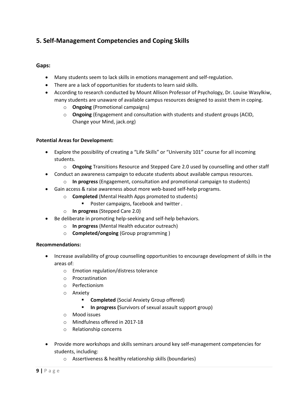# **5. Self-Management Competencies and Coping Skills**

## **Gaps:**

- Many students seem to lack skills in emotions management and self-regulation.
- There are a lack of opportunities for students to learn said skills.
- According to research conducted by Mount Allison Professor of Psychology, Dr. Louise Wasylkiw, many students are unaware of available campus resources designed to assist them in coping.
	- o **Ongoing** (Promotional campaigns)
	- o **Ongoing** (Engagement and consultation with students and student groups (ACID, Change your Mind, jack.org)

### **Potential Areas for Development:**

- Explore the possibility of creating a "Life Skills" or "University 101" course for all incoming students.
	- o **Ongoing** Transitions Resource and Stepped Care 2.0 used by counselling and other staff
- Conduct an awareness campaign to educate students about available campus resources.
	- o **In progress** (Engagement, consultation and promotional campaign to students)
- Gain access & raise awareness about more web-based self-help programs.
	- o **Completed** (Mental Health Apps promoted to students)
		- Poster campaigns, facebook and twitter.
	- o **In progress** (Stepped Care 2.0)
- Be deliberate in promoting help-seeking and self-help behaviors.
	- o **In progress** (Mental Health educator outreach)
	- o **Completed/ongoing** (Group programming )

- Increase availability of group counselling opportunities to encourage development of skills in the areas of:
	- o Emotion regulation/distress tolerance
	- o Procrastination
	- o Perfectionism
	- o Anxiety
		- **Completed** (Social Anxiety Group offered)
		- **In progress (**Survivors of sexual assault support group)
	- o Mood issues
	- o Mindfulness offered in 2017-18
	- o Relationship concerns
- Provide more workshops and skills seminars around key self-management competencies for students, including:
	- o Assertiveness & healthy relationship skills (boundaries)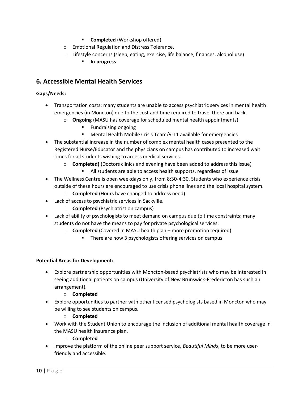- **Completed** (Workshop offered)
- o Emotional Regulation and Distress Tolerance.
- o Lifestyle concerns (sleep, eating, exercise, life balance, finances, alcohol use)
	- **In progress**

# **6. Accessible Mental Health Services**

### **Gaps/Needs:**

- Transportation costs: many students are unable to access psychiatric services in mental health emergencies (in Moncton) due to the cost and time required to travel there and back.
	- o **Ongoing** (MASU has coverage for scheduled mental health appointments)
		- **Fundraising ongoing**
		- Mental Health Mobile Crisis Team/9-11 available for emergencies
- The substantial increase in the number of complex mental health cases presented to the Registered Nurse/Educator and the physicians on campus has contributed to increased wait times for all students wishing to access medical services.
	- o **Completed)** (Doctors clinics and evening have been added to address this issue)
		- All students are able to access health supports, regardless of issue
- The Wellness Centre is open weekdays only, from 8:30-4:30. Students who experience crisis outside of these hours are encouraged to use crisis phone lines and the local hospital system.
	- o **Completed** (Hours have changed to address need)
- Lack of access to psychiatric services in Sackville.
	- o **Completed** (Psychiatrist on campus)
- Lack of ability of psychologists to meet demand on campus due to time constraints; many students do not have the means to pay for private psychological services.
	- o **Completed** (Covered in MASU health plan more promotion required)
		- There are now 3 psychologists offering services on campus

### **Potential Areas for Development:**

- Explore partnership opportunities with Moncton-based psychiatrists who may be interested in seeing additional patients on campus (University of New Brunswick-Fredericton has such an arrangement).
	- o **Completed**
- Explore opportunities to partner with other licensed psychologists based in Moncton who may be willing to see students on campus.
	- o **Completed**
- Work with the Student Union to encourage the inclusion of additional mental health coverage in the MASU health insurance plan.
	- o **Completed**
- Improve the platform of the online peer support service, *Beautiful Minds*, to be more userfriendly and accessible.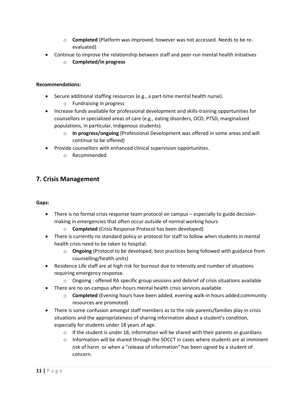- o **Completed** (Platform was improved, however was not accessed. Needs to be reevaluated)
- Continue to improve the relationship between staff and peer-run mental health initiatives
	- o **Completed/in progress**

### **Recommendations:**

- Secure additional staffing resources (e.g., a part-time mental health nurse).
	- o Fundraising in progress
- Increase funds available for professional development and skills-training opportunities for counsellors in specialized areas of care (e.g., eating disorders, OCD, PTSD, marginalized populations, in particular, Indigenous students).
	- o **In progress/ongoing** (Professional Development was offered in some areas and will continue to be offered)
- Provide counsellors with enhanced clinical supervision opportunities.
	- o Recommended

# **7. Crisis Management**

### **Gaps:**

- There is no formal crisis response team protocol on campus especially to guide decisionmaking in emergencies that often occur outside of normal working hours
	- o **Completed** (Crisis Response Protocol has been developed)
- There is currently no standard policy or protocol for staff to follow when students in mental health crisis need to be taken to hospital.
	- o **Ongoing** (Protocol to be developed; best practices being followed with guidance from counselling/health units)
- Residence Life staff are at high risk for burnout due to intensity and number of situations requiring emergency response.
	- $\circ$  Ongoing : offered RA specific group sessions and debrief of crisis situations available
- There are no on-campus after-hours mental health crisis services available.
	- o **Completed** (Evening hours have been added, evening walk-in hours added;community resources are promoted)
- There is some confusion amongst staff members as to the role parents/families play in crisis situations and the appropriateness of sharing information about a student's condition, especially for students under 18 years of age.
	- $\circ$  If the student is under 18, information will be shared with their parents or guardians
	- $\circ$  Information will be shared through the SOCCT in cases where students are at imminent risk of harm or when a "release of information" has been signed by a student of concern.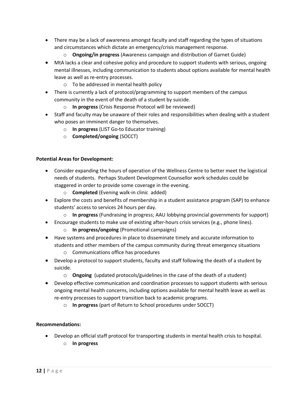- There may be a lack of awareness amongst faculty and staff regarding the types of situations and circumstances which dictate an emergency/crisis management response.
	- o **Ongoing/in progress** (Awareness campaign and distribution of Garnet Guide)
- MtA lacks a clear and cohesive policy and procedure to support students with serious, ongoing mental illnesses, including communication to students about options available for mental health leave as well as re-entry processes.
	- o To be addressed in mental health policy
- There is currently a lack of protocol/programming to support members of the campus community in the event of the death of a student by suicide.
	- o **In progress** (Crisis Response Protocol will be reviewed)
- Staff and faculty may be unaware of their roles and responsibilities when dealing with a student who poses an imminent danger to themselves.
	- o **In progress** (LIST Go-to Educator training)
	- o **Completed/ongoing** (SOCCT)

### **Potential Areas for Development:**

- Consider expanding the hours of operation of the Wellness Centre to better meet the logistical needs of students. Perhaps Student Development Counsellor work schedules could be staggered in order to provide some coverage in the evening.
	- o **Completed** (Evening walk-in clinic added)
- Explore the costs and benefits of membership in a student assistance program (SAP) to enhance students' access to services 24 hours per day.
	- o **In progress** (Fundraising in progress; AAU lobbying provincial governments for support)
- Encourage students to make use of existing after-hours crisis services (e.g., phone lines).
	- o **In progress/ongoing** (Promotional campaigns)
- Have systems and procedures in place to disseminate timely and accurate information to students and other members of the campus community during threat emergency situations
	- o Communications office has procedures
- Develop a protocol to support students, faculty and staff following the death of a student by suicide.
	- o **Ongoing** (updated protocols/guidelines in the case of the death of a student)
- Develop effective communication and coordination processes to support students with serious ongoing mental health concerns, including options available for mental health leave as well as re-entry processes to support transition back to academic programs.
	- o **In progress** (part of Return to School procedures under SOCCT)

- Develop an official staff protocol for transporting students in mental health crisis to hospital.
	- o **In progress**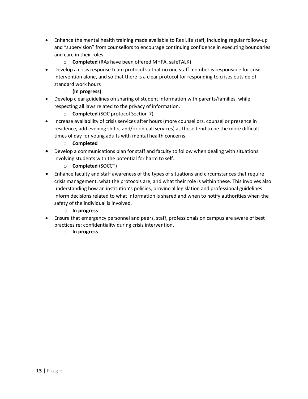- Enhance the mental health training made available to Res Life staff, including regular follow-up and "supervision" from counsellors to encourage continuing confidence in executing boundaries and care in their roles.
	- o **Completed** (RAs have been offered MHFA, safeTALK)
- Develop a crisis response team protocol so that no one staff member is responsible for crisis intervention alone, and so that there is a clear protocol for responding to crises outside of standard work hours
	- o **(In progress)**.
- Develop clear guidelines on sharing of student information with parents/families, while respecting all laws related to the privacy of information.
	- o **Completed** (SOC protocol Section 7)
- Increase availability of crisis services after hours (more counsellors, counsellor presence in residence, add evening shifts, and/or on-call services) as these tend to be the more difficult times of day for young adults with mental health concerns.
	- o **Completed**
- Develop a communications plan for staff and faculty to follow when dealing with situations involving students with the potential for harm to self.
	- o **Completed** (SOCCT)
- Enhance faculty and staff awareness of the types of situations and circumstances that require crisis management, what the protocols are, and what their role is within these. This involves also understanding how an institution's policies, provincial legislation and professional guidelines inform decisions related to what information is shared and when to notify authorities when the safety of the individual is involved.
	- o **In progress**
- Ensure that emergency personnel and peers, staff, professionals on campus are aware of best practices re: confidentiality during crisis intervention.
	- o **In progress**